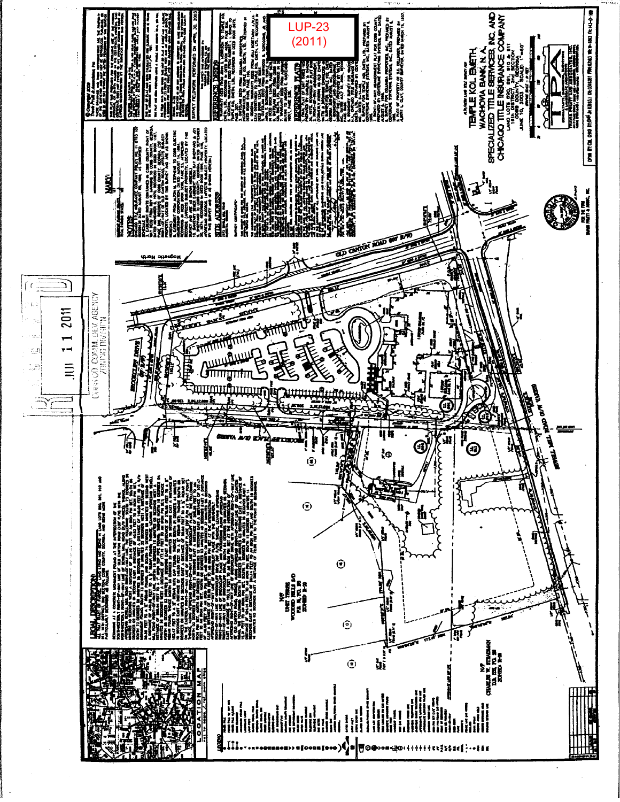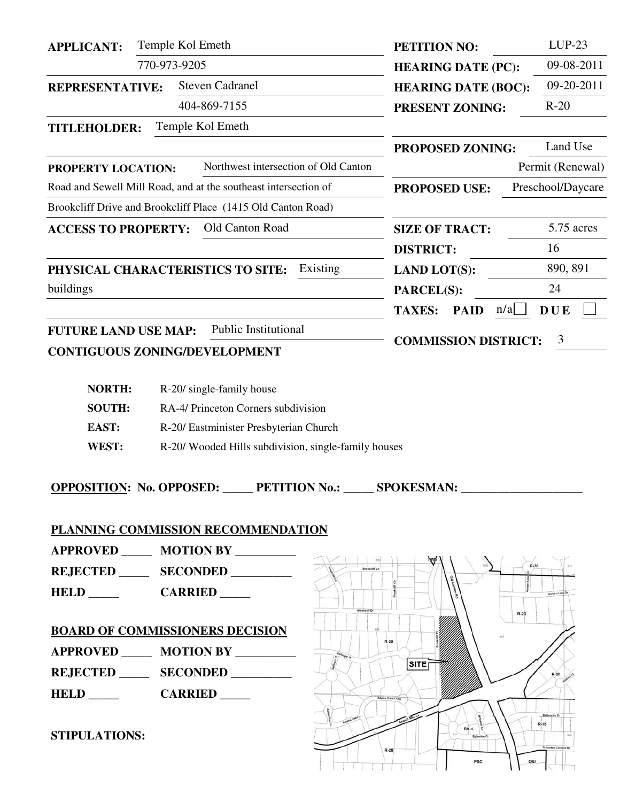| <b>APPLICANT:</b>           | Temple Kol Emeth                                                | PETITION NO:                            | $LUP-23$          |  |  |
|-----------------------------|-----------------------------------------------------------------|-----------------------------------------|-------------------|--|--|
|                             | 770-973-9205                                                    | <b>HEARING DATE (PC):</b>               | 09-08-2011        |  |  |
| <b>REPRESENTATIVE:</b>      | <b>Steven Cadranel</b>                                          | <b>HEARING DATE (BOC):</b>              | 09-20-2011        |  |  |
|                             | 404-869-7155                                                    | <b>PRESENT ZONING:</b>                  | $R-20$            |  |  |
| <b>TITLEHOLDER:</b>         | Temple Kol Emeth                                                |                                         |                   |  |  |
|                             |                                                                 | <b>PROPOSED ZONING:</b>                 | Land Use          |  |  |
| PROPERTY LOCATION:          | Northwest intersection of Old Canton                            |                                         | Permit (Renewal)  |  |  |
|                             | Road and Sewell Mill Road, and at the southeast intersection of | <b>PROPOSED USE:</b>                    | Preschool/Daycare |  |  |
|                             | Brookcliff Drive and Brookcliff Place (1415 Old Canton Road)    |                                         |                   |  |  |
| <b>ACCESS TO PROPERTY:</b>  | Old Canton Road                                                 | <b>SIZE OF TRACT:</b>                   | 5.75 acres        |  |  |
|                             |                                                                 | <b>DISTRICT:</b>                        | 16                |  |  |
|                             | Existing<br>PHYSICAL CHARACTERISTICS TO SITE:                   | <b>LAND LOT(S):</b>                     | 890, 891          |  |  |
| buildings                   |                                                                 | PARCEL(S):                              | 24                |  |  |
|                             |                                                                 | $n/a$  <br><b>PAID</b><br><b>TAXES:</b> | <b>DUE</b>        |  |  |
| <b>FUTURE LAND USE MAP:</b> | <b>Public Institutional</b>                                     | 3<br><b>COMMISSION DISTRICT:</b>        |                   |  |  |
|                             | <b>CONTIGUOUS ZONING/DEVELOPMENT</b>                            |                                         |                   |  |  |

| <b>NORTH:</b> | R-20/ single-family house                           |
|---------------|-----------------------------------------------------|
| <b>SOUTH:</b> | RA-4/ Princeton Corners subdivision                 |
| <b>EAST:</b>  | R-20/ Eastminister Presbyterian Church              |
| WEST:         | R-20/Wooded Hills subdivision, single-family houses |

**OPPOSITION:** No. OPPOSED: PETITION No.: \_\_\_\_\_ SPOKESMAN: \_\_\_\_\_\_\_\_\_\_\_\_\_\_\_\_\_\_\_\_\_\_\_\_

### **PLANNING COMMISSION RECOMMENDATION**

**APPROVED \_\_\_\_\_ MOTION BY \_\_\_\_\_\_\_\_\_\_** 

**REJECTED \_\_\_\_\_ SECONDED \_\_\_\_\_\_\_\_\_\_** 

**HELD \_\_\_\_\_ CARRIED \_\_\_\_** 

# **BOARD OF COMMISSIONERS DECISION**

**APPROVED \_\_\_\_\_ MOTION BY \_\_\_\_\_\_\_\_\_\_ REJECTED \_\_\_\_\_ SECONDED \_\_\_\_\_\_\_\_\_\_** 

**HELD** \_\_\_\_\_ CARRIED \_\_\_\_

**STIPULATIONS:** 

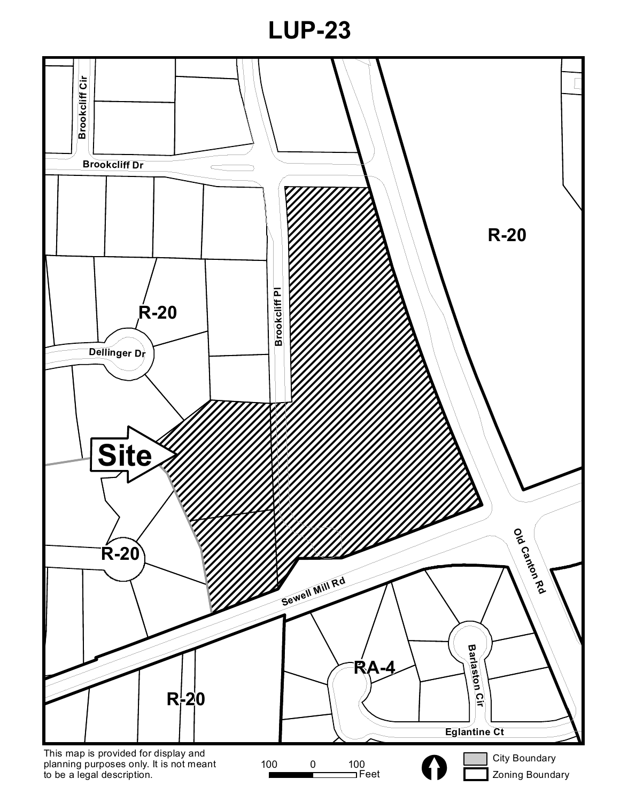**LUP-23**

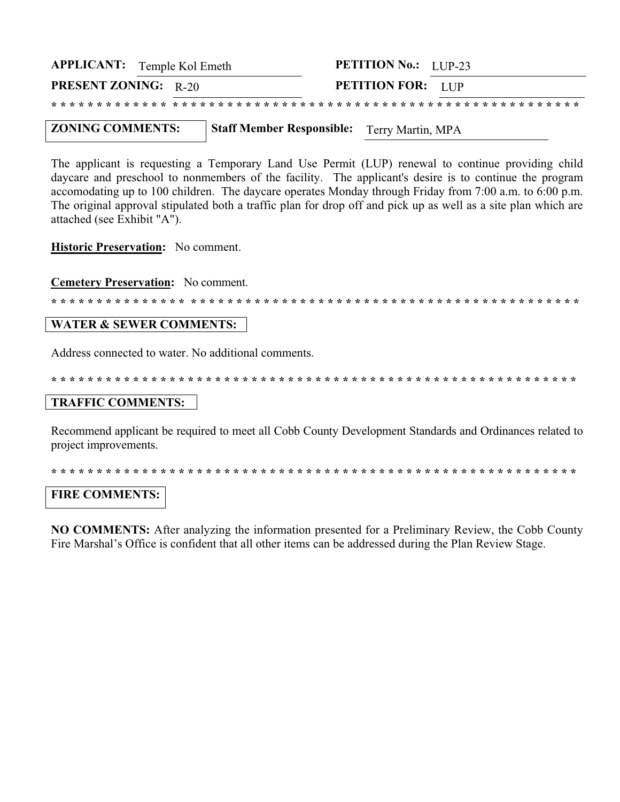| <b>APPLICANT:</b> Temple Kol Emeth |  |  | <b>PETITION No.:</b> LUP-23 |  |  |  |
|------------------------------------|--|--|-----------------------------|--|--|--|
| <b>PRESENT ZONING: R-20</b>        |  |  | <b>PETITION FOR:</b> LUP    |  |  |  |
|                                    |  |  |                             |  |  |  |

**ZONING COMMENTS: Staff Member Responsible:** Terry Martin, MPA

The applicant is requesting a Temporary Land Use Permit (LUP) renewal to continue providing child daycare and preschool to nonmembers of the facility. The applicant's desire is to continue the program accomodating up to 100 children. The daycare operates Monday through Friday from 7:00 a.m. to 6:00 p.m. The original approval stipulated both a traffic plan for drop off and pick up as well as a site plan which are attached (see Exhibit "A").

**Historic Preservation:** No comment.

**Cemetery Preservation:** No comment.

\* \* \* \* \* \* \* \* \* \* \* \* \* \* \* \* \* \* \* \* \* \* \* \* \* \* \* \* \* \* \* \* \* \* \* \* \* \* \* \* \* \*

#### **WATER & SEWER COMMENTS:**

Address connected to water. No additional comments.

#### **TRAFFIC COMMENTS:**

Recommend applicant be required to meet all Cobb County Development Standards and Ordinances related to project improvements.

#### **FIRE COMMENTS:**

**NO COMMENTS:** After analyzing the information presented for a Preliminary Review, the Cobb County Fire Marshal's Office is confident that all other items can be addressed during the Plan Review Stage.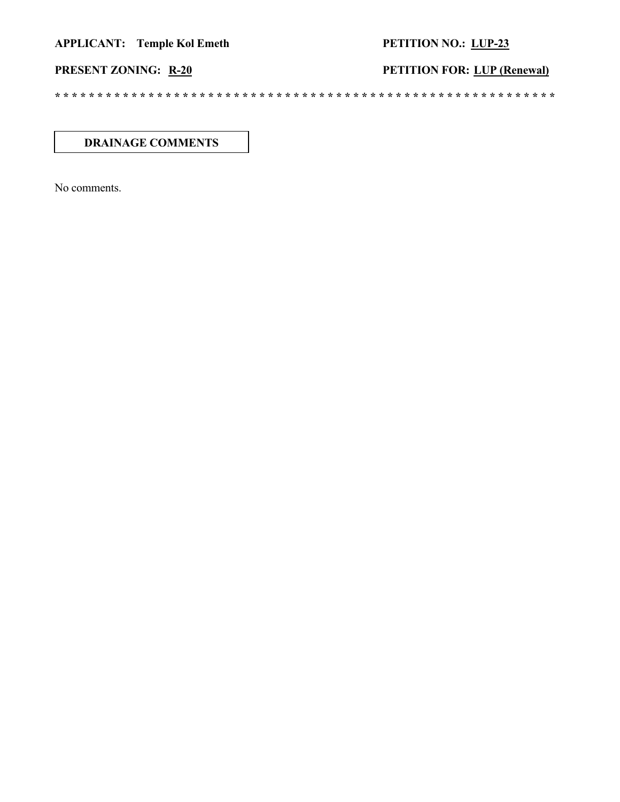## PETITION NO.: LUP-23

**PETITION FOR: LUP (Renewal)** 

## PRESENT ZONING: R-20

#### **DRAINAGE COMMENTS**

No comments.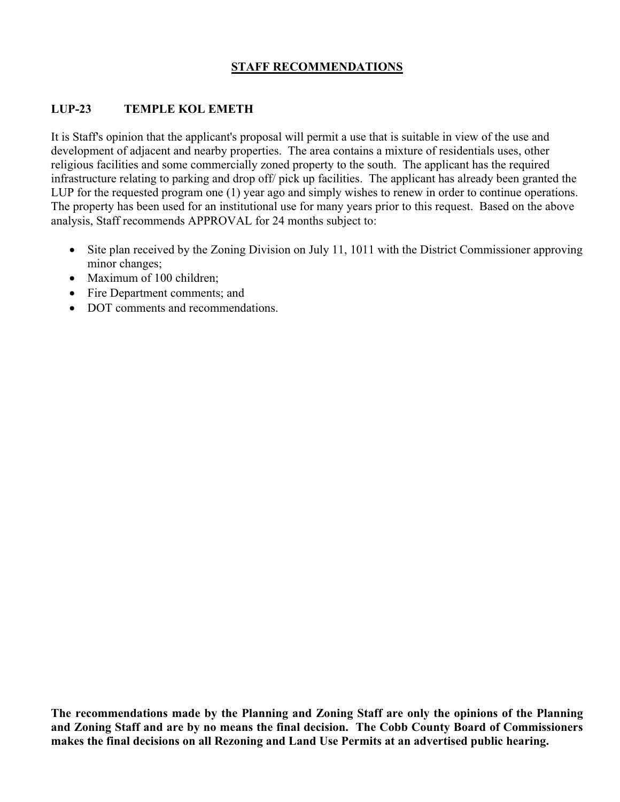### **STAFF RECOMMENDATIONS**

#### **LUP-23 TEMPLE KOL EMETH**

It is Staff's opinion that the applicant's proposal will permit a use that is suitable in view of the use and development of adjacent and nearby properties. The area contains a mixture of residentials uses, other religious facilities and some commercially zoned property to the south. The applicant has the required infrastructure relating to parking and drop off/ pick up facilities. The applicant has already been granted the LUP for the requested program one (1) year ago and simply wishes to renew in order to continue operations. The property has been used for an institutional use for many years prior to this request. Based on the above analysis, Staff recommends APPROVAL for 24 months subject to:

- Site plan received by the Zoning Division on July 11, 1011 with the District Commissioner approving minor changes;
- Maximum of 100 children;
- Fire Department comments; and
- DOT comments and recommendations.

**The recommendations made by the Planning and Zoning Staff are only the opinions of the Planning and Zoning Staff and are by no means the final decision. The Cobb County Board of Commissioners makes the final decisions on all Rezoning and Land Use Permits at an advertised public hearing.**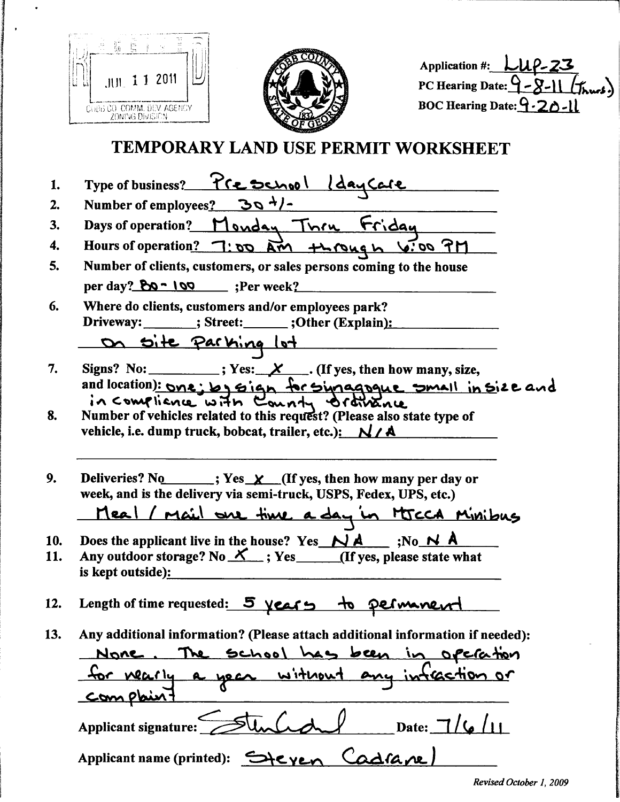|            | <b>Application #:</b><br>2011<br><b>PC Hearing Date:</b><br>BOC Hearing Date: $9-2$<br>COBB CO COMM. DEV. AGENCY<br><b>ZONING DIVISION</b><br>TEMPORARY LAND USE PERMIT WORKSHEET                    |
|------------|------------------------------------------------------------------------------------------------------------------------------------------------------------------------------------------------------|
| 1.         | Type of business? 7 Ce School                                                                                                                                                                        |
| 2.         | <u>304</u><br>Number of employees?                                                                                                                                                                   |
| 3.         | Days of operation?<br><u>Inru</u><br>onday                                                                                                                                                           |
| 4.         | <b>Hours of operation?</b><br><u>nr 00:4</u><br>00<br>А                                                                                                                                              |
| 5.         | Number of clients, customers, or sales persons coming to the house                                                                                                                                   |
|            | per day? $80 - 100$ ; Per week?                                                                                                                                                                      |
| 6.         | Where do clients, customers and/or employees park?<br>Driveway: _______; Street: ______; Other (Explain):                                                                                            |
|            |                                                                                                                                                                                                      |
|            |                                                                                                                                                                                                      |
| 7.         | Signs? No:<br>$\chi$ (If yes, then how many, size,<br>: Yes:<br>and location): one: by sign<br>for singapque small in size and                                                                       |
| 8.         | in compliance with County orthogne<br>Number of vehicles related to this request? (Please also state type of<br>vehicle, i.e. dump truck, bobcat, trailer, etc.): $N / A$                            |
| 9.         | Deliveries? No $\mathbf{y}$ ; Yes $\mathbf{y}$ (If yes, then how many per day or<br>week, and is the delivery via semi-truck, USPS, Fedex, UPS, etc.)<br>Meal / mail are time a day in HICCA Minibus |
|            |                                                                                                                                                                                                      |
| 10.<br>11. | Does the applicant live in the house? Yes $N_A$ $\wedge$ ;No $N_A$<br>Any outdoor storage? No $X$ ; Yes (If yes, please state what<br>is kept outside):                                              |
| 12.        | Length of time requested: 5 years to permanent                                                                                                                                                       |
| 13.        | Any additional information? (Please attach additional information if needed):                                                                                                                        |
|            | None. The school has been in operation                                                                                                                                                               |
|            | for nearly a year without any infeaction or<br><u>Complaint</u>                                                                                                                                      |
|            | Date: $7/(6/11)$<br>Applicant signature:                                                                                                                                                             |
|            | Applicant name (printed): Steven Cadrane                                                                                                                                                             |

 $\bullet$ 

 $\bar{\textbf{z}}$ 

I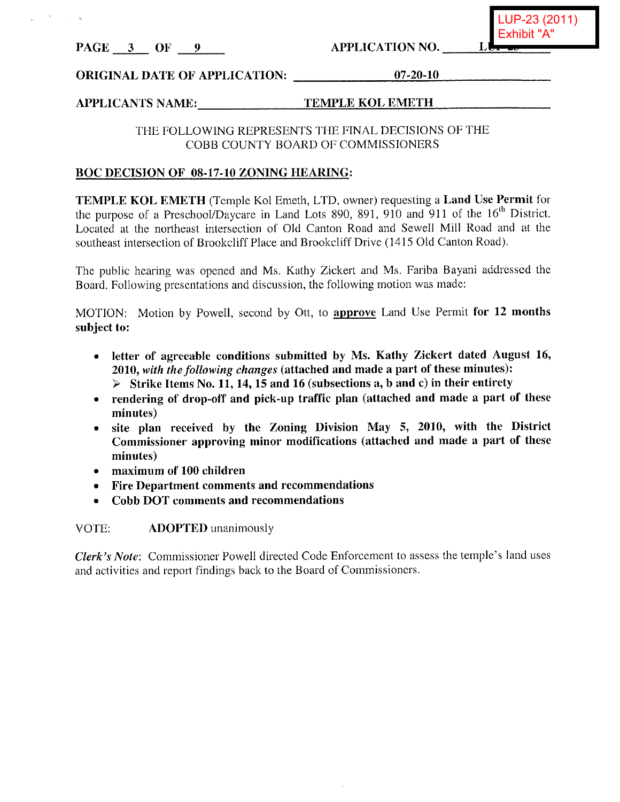PAGE 3 OF 9

**APPLICATION NO.** 

# **ORIGINAL DATE OF APPLICATION:** 07-20-10

#### **APPLICANTS NAME: TEMPLE KOL EMETH**

#### THE FOLLOWING REPRESENTS THE FINAL DECISIONS OF THE COBB COUNTY BOARD OF COMMISSIONERS

#### **BOC DECISION OF 08-17-10 ZONING HEARING:**

TEMPLE KOL EMETH (Temple Kol Emeth, LTD, owner) requesting a Land Use Permit for the purpose of a Preschool/Daycare in Land Lots 890, 891, 910 and 911 of the 16<sup>th</sup> District. Located at the northeast intersection of Old Canton Road and Sewell Mill Road and at the southeast intersection of Brookcliff Place and Brookcliff Drive (1415 Old Canton Road).

The public hearing was opened and Ms. Kathy Zickert and Ms. Fariba Bayani addressed the Board. Following presentations and discussion, the following motion was made:

MOTION: Motion by Powell, second by Ott, to approve Land Use Permit for 12 months subject to:

- letter of agreeable conditions submitted by Ms. Kathy Zickert dated August 16, 2010, with the following changes (attached and made a part of these minutes):  $\triangleright$  Strike Items No. 11, 14, 15 and 16 (subsections a, b and c) in their entirety
- rendering of drop-off and pick-up traffic plan (attached and made a part of these minutes)
- site plan received by the Zoning Division May 5, 2010, with the District Commissioner approving minor modifications (attached and made a part of these minutes)
- maximum of 100 children
- Fire Department comments and recommendations
- Cobb DOT comments and recommendations

**ADOPTED** unanimously VOTE:

Clerk's Note: Commissioner Powell directed Code Enforcement to assess the temple's land uses and activities and report findings back to the Board of Commissioners.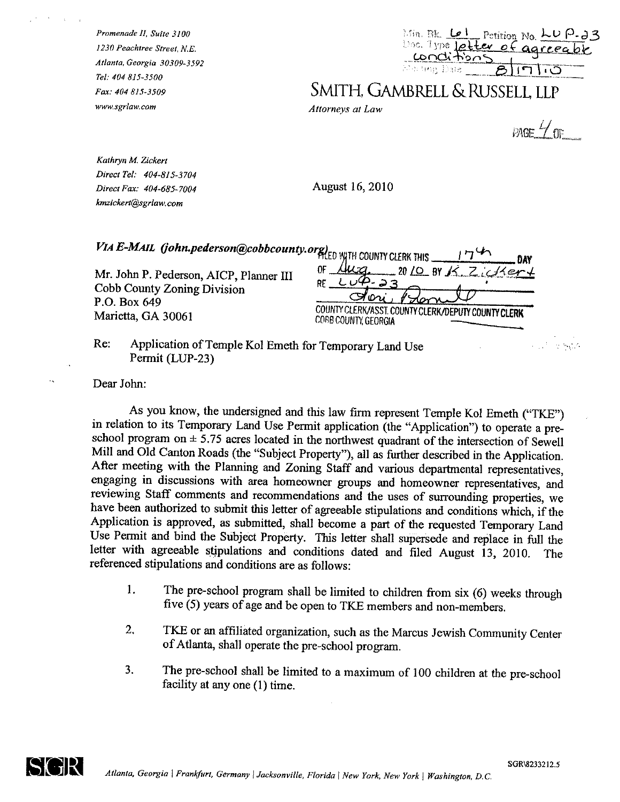Promenade II, Suite 3100 1230 Peachtree Street, N.E. Atlanta, Georgia 30309-3592 Tel: 404 815-3500 Fax: 404 815-3509 www.sgrlaw.com

| 子引き 飛転           | $P_{\text{c}}$ Petition No. LU P-23 |
|------------------|-------------------------------------|
| Doc. Type letter | $n\tilde{\mathcal{L}}$ agr          |
| 声声 tug. Date.    |                                     |

SMITH, GAMBRELL & RUSSELL, LLP

Attorneys at Law

 $P = \frac{1}{2}$ 

Kathryn M. Zickert Direct Tel: 404-815-3704 Direct Fax: 404-685-7004 kmzickert@sgrlaw.com

August 16, 2010

|                                                                                                              | DAY                                                                                                                                |
|--------------------------------------------------------------------------------------------------------------|------------------------------------------------------------------------------------------------------------------------------------|
| Mr. John P. Pederson, AICP, Planner III<br>Cobb County Zoning Division<br>P.O. Box 649<br>Marietta, GA 30061 | $-2010$ BY K. Zicker +<br><u>lug</u><br>0F -<br>90ni<br>COUNTY CLERK/ASST. COUNTY CLERK/DEPUTY COUNTY CLERK<br>COBB COUNTY GEORGIA |
| Re:<br>Application of Temple Kol Emeth for Temporary Land Use                                                | mar A                                                                                                                              |

Permit (LUP-23)

Dear John:

As you know, the undersigned and this law firm represent Temple Kol Emeth ("TKE") in relation to its Temporary Land Use Permit application (the "Application") to operate a preschool program on  $\pm$  5.75 acres located in the northwest quadrant of the intersection of Sewell Mill and Old Canton Roads (the "Subject Property"), all as further described in the Application. After meeting with the Planning and Zoning Staff and various departmental representatives, engaging in discussions with area homeowner groups and homeowner representatives, and reviewing Staff comments and recommendations and the uses of surrounding properties, we have been authorized to submit this letter of agreeable stipulations and conditions which, if the Application is approved, as submitted, shall become a part of the requested Temporary Land Use Permit and bind the Subject Property. This letter shall supersede and replace in full the letter with agreeable stipulations and conditions dated and filed August 13, 2010. The referenced stipulations and conditions are as follows:

- $\mathbf{1}$ . The pre-school program shall be limited to children from six (6) weeks through five (5) years of age and be open to TKE members and non-members.
- $2.$ TKE or an affiliated organization, such as the Marcus Jewish Community Center of Atlanta, shall operate the pre-school program.
- $3.$ The pre-school shall be limited to a maximum of 100 children at the pre-school facility at any one (1) time.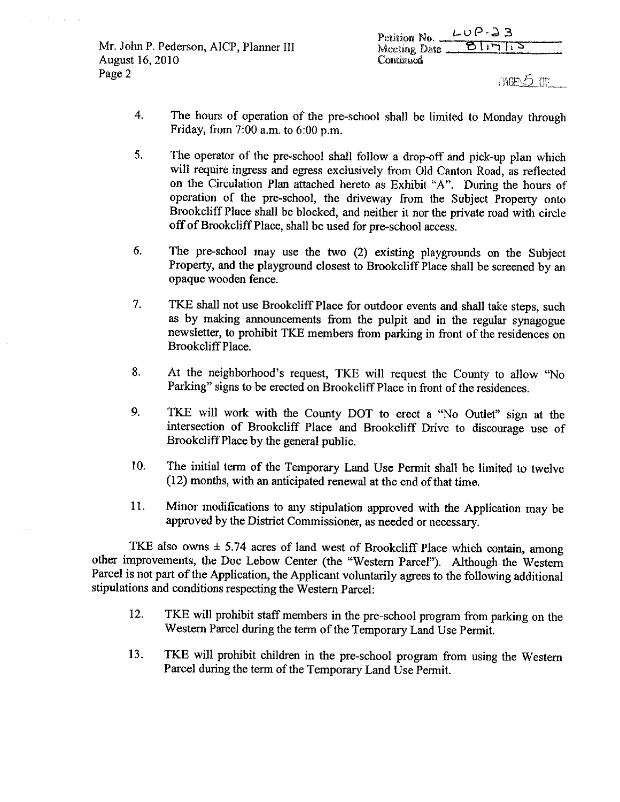Mr. John P. Pederson, AICP, Planner III August 16, 2010 Page 2

Petition No.  $L \cup P - 33$ ठानाउ Mceting Date \_ Continued

PAGES OF

- 4. The hours of operation of the pre-school shall be limited to Monday through Friday, from  $7:00$  a.m. to  $6:00$  p.m.
- 5. The operator of the pre-school shall follow a drop-off and pick-up plan which will require ingress and egress exclusively from Old Canton Road, as reflected on the Circulation Plan attached hereto as Exhibit "A". During the hours of operation of the pre-school, the driveway from the Subject Property onto Brookcliff Place shall be blocked, and neither it nor the private road with circle off of Brookcliff Place, shall be used for pre-school access.
- 6. The pre-school may use the two (2) existing playgrounds on the Subject Property, and the playground closest to Brookcliff Place shall be screened by an opaque wooden fence.
- 7. TKE shall not use Brookcliff Place for outdoor events and shall take steps, such as by making announcements from the pulpit and in the regular synagogue newsletter, to prohibit TKE members from parking in front of the residences on Brookcliff Place.
- 8. At the neighborhood's request, TKE will request the County to allow "No Parking" signs to be erected on Brookcliff Place in front of the residences.
- $9<sub>1</sub>$ TKE will work with the County DOT to erect a "No Outlet" sign at the intersection of Brookcliff Place and Brookcliff Drive to discourage use of Brookcliff Place by the general public.
- 10. The initial term of the Temporary Land Use Permit shall be limited to twelve (12) months, with an anticipated renewal at the end of that time.
- 11. Minor modifications to any stipulation approved with the Application may be approved by the District Commissioner, as needed or necessary.

TKE also owns  $\pm$  5.74 acres of land west of Brookcliff Place which contain, among other improvements, the Doc Lebow Center (the "Western Parcel"). Although the Western Parcel is not part of the Application, the Applicant voluntarily agrees to the following additional stipulations and conditions respecting the Western Parcel:

- TKE will prohibit staff members in the pre-school program from parking on the 12. Western Parcel during the term of the Temporary Land Use Permit.
- 13. TKE will prohibit children in the pre-school program from using the Western Parcel during the term of the Temporary Land Use Permit.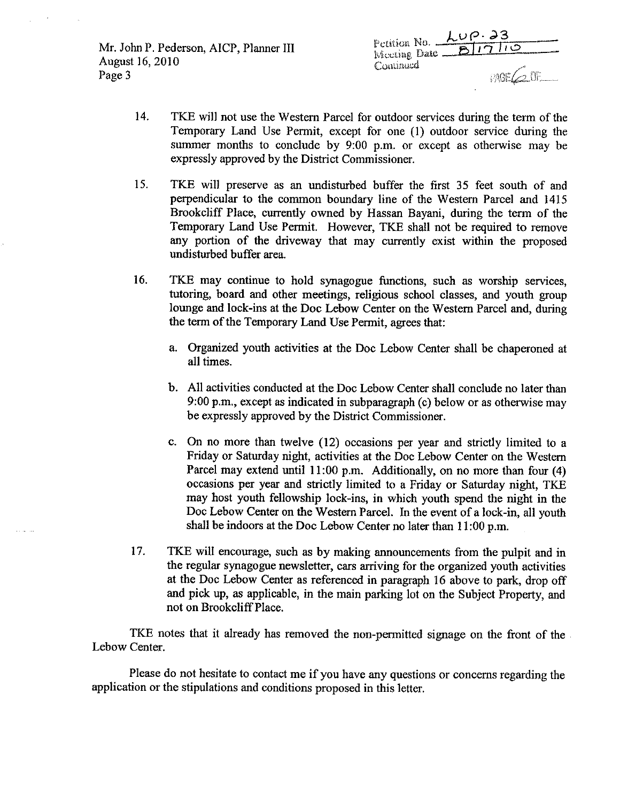Mr. John P. Pederson, AICP, Planner III August 16, 2010 Page 3

| Petition No. $\angle LUP \cdot 23$ |                |
|------------------------------------|----------------|
| Meeting Date                       | B1710          |
| Continued                          |                |
|                                    | $PAGE \sim QF$ |

- 14. TKE will not use the Western Parcel for outdoor services during the term of the Temporary Land Use Permit, except for one (1) outdoor service during the summer months to conclude by 9:00 p.m. or except as otherwise may be expressly approved by the District Commissioner.
- 15. TKE will preserve as an undisturbed buffer the first 35 feet south of and perpendicular to the common boundary line of the Western Parcel and 1415 Brookcliff Place, currently owned by Hassan Bayani, during the term of the Temporary Land Use Permit. However, TKE shall not be required to remove any portion of the driveway that may currently exist within the proposed undisturbed buffer area.
- 16. TKE may continue to hold synagogue functions, such as worship services, tutoring, board and other meetings, religious school classes, and youth group lounge and lock-ins at the Doc Lebow Center on the Western Parcel and, during the term of the Temporary Land Use Permit, agrees that:
	- a. Organized youth activities at the Doc Lebow Center shall be chaperoned at all times.
	- b. All activities conducted at the Doc Lebow Center shall conclude no later than 9:00 p.m., except as indicated in subparagraph (c) below or as otherwise may be expressly approved by the District Commissioner.
	- c. On no more than twelve (12) occasions per year and strictly limited to a Friday or Saturday night, activities at the Doc Lebow Center on the Western Parcel may extend until 11:00 p.m. Additionally, on no more than four (4) occasions per year and strictly limited to a Friday or Saturday night, TKE may host youth fellowship lock-ins, in which youth spend the night in the Doc Lebow Center on the Western Parcel. In the event of a lock-in, all youth shall be indoors at the Doc Lebow Center no later than 11:00 p.m.
- 17. TKE will encourage, such as by making announcements from the pulpit and in the regular synagogue newsletter, cars arriving for the organized youth activities at the Doc Lebow Center as referenced in paragraph 16 above to park, drop off and pick up, as applicable, in the main parking lot on the Subject Property, and not on Brookcliff Place.

TKE notes that it already has removed the non-permitted signage on the front of the Lebow Center.

Please do not hesitate to contact me if you have any questions or concerns regarding the application or the stipulations and conditions proposed in this letter.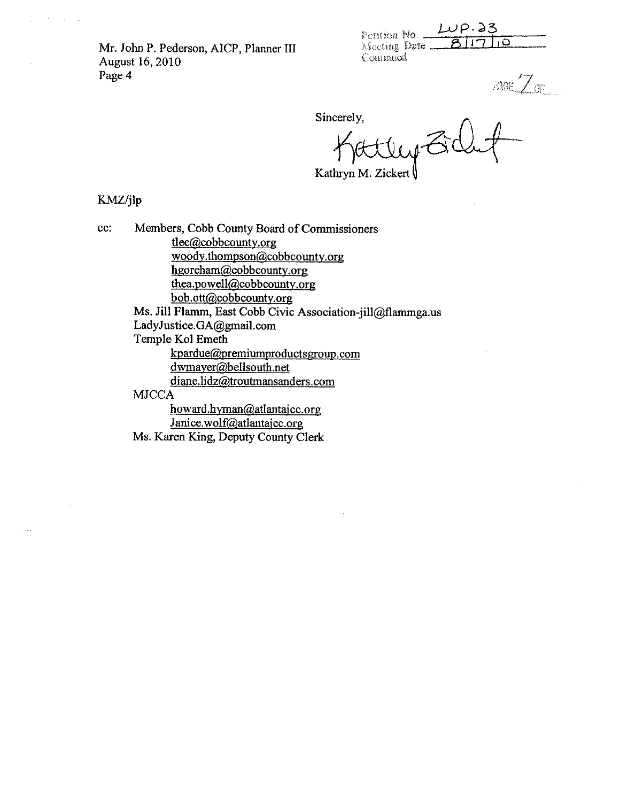Mr. John P. Pederson, AICP, Planner III August 16, 2010 Page 4

| Petition No. | $LUP.$ 23 |  |
|--------------|-----------|--|
|              |           |  |
| CONTINUES    |           |  |

 $\begin{array}{c} \mathbb{A}\text{GE}\ \widetilde{\angle}\ \mathbb{O}\text{E} \ \mathbb{A} \ \mathbb{O}\text{F} \ \mathbb{A} \ \mathbb{O}\text{F} \ \mathbb{A} \ \mathbb{O}\text{F} \ \mathbb{A} \ \mathbb{O}\text{F} \ \mathbb{A} \ \mathbb{O}\text{F} \ \mathbb{A} \ \mathbb{O}\text{F} \ \mathbb{A} \ \mathbb{O}\text{F} \ \mathbb{A} \ \mathbb{O}\text{F} \ \mathbb{A} \ \mathbb{O}\text{F} \ \mathbb{A} \ \mathbb{O}\text{F} \ \mathbb{A$ 

Sincerely,

Kathryn M. Zickert

KMZ/jlp

Members, Cobb County Board of Commissioners cc: tlee@cobbcounty.org woody.thompson@cobbcounty.org hgoreham@cobbcounty.org thea.powell@cobbcounty.org bob.ott@cobbcounty.org Ms. Jill Flamm, East Cobb Civic Association-jill@flammga.us LadyJustice.GA@gmail.com Temple Kol Emeth kpardue@premiumproductsgroup.com dwmayer@bellsouth.net diane.lidz@troutmansanders.com **MJCCA** howard.hyman@atlantajcc.org Janice.wolf@atlantajcc.org Ms. Karen King, Deputy County Clerk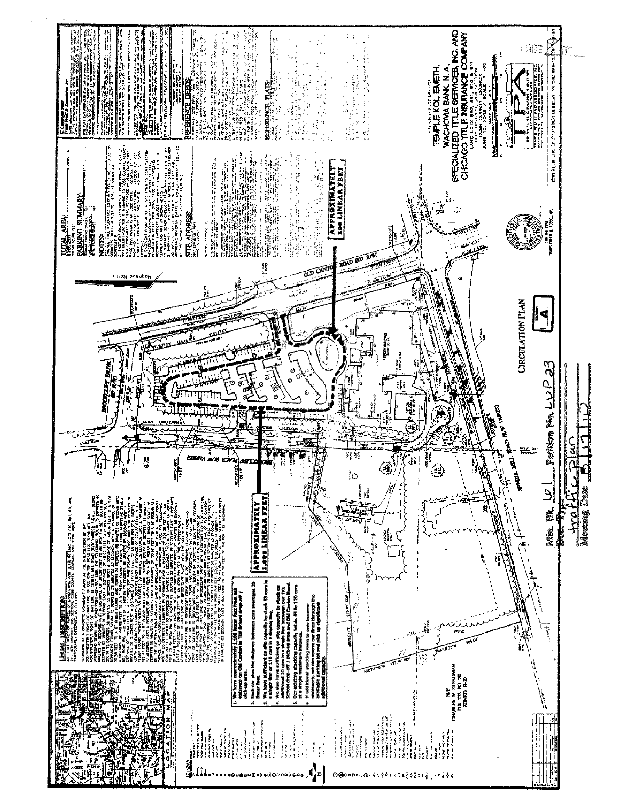